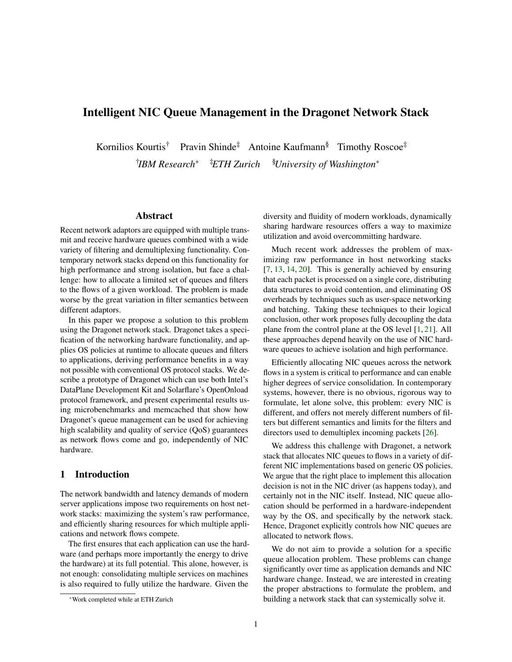# Intelligent NIC Queue Management in the Dragonet Network Stack

Kornilios Kourtis<sup>†</sup> Pravin Shinde<sup>‡</sup> Antoine Kaufmann<sup>§</sup> Timothy Roscoe<sup>‡</sup> † *IBM Research*<sup>∗</sup> ‡*ETH Zurich* §*University of Washington*<sup>∗</sup>

### Abstract

Recent network adaptors are equipped with multiple transmit and receive hardware queues combined with a wide variety of filtering and demultiplexing functionality. Contemporary network stacks depend on this functionality for high performance and strong isolation, but face a challenge: how to allocate a limited set of queues and filters to the flows of a given workload. The problem is made worse by the great variation in filter semantics between different adaptors.

In this paper we propose a solution to this problem using the Dragonet network stack. Dragonet takes a specification of the networking hardware functionality, and applies OS policies at runtime to allocate queues and filters to applications, deriving performance benefits in a way not possible with conventional OS protocol stacks. We describe a prototype of Dragonet which can use both Intel's DataPlane Development Kit and Solarflare's OpenOnload protocol framework, and present experimental results using microbenchmarks and memcached that show how Dragonet's queue management can be used for achieving high scalability and quality of service (QoS) guarantees as network flows come and go, independently of NIC hardware.

### 1 Introduction

The network bandwidth and latency demands of modern server applications impose two requirements on host network stacks: maximizing the system's raw performance, and efficiently sharing resources for which multiple applications and network flows compete.

The first ensures that each application can use the hardware (and perhaps more importantly the energy to drive the hardware) at its full potential. This alone, however, is not enough: consolidating multiple services on machines is also required to fully utilize the hardware. Given the

diversity and fluidity of modern workloads, dynamically sharing hardware resources offers a way to maximize utilization and avoid overcommitting hardware.

Much recent work addresses the problem of maximizing raw performance in host networking stacks [\[7,](#page-13-0) [13,](#page-13-1) [14,](#page-13-2) [20\]](#page-13-3). This is generally achieved by ensuring that each packet is processed on a single core, distributing data structures to avoid contention, and eliminating OS overheads by techniques such as user-space networking and batching. Taking these techniques to their logical conclusion, other work proposes fully decoupling the data plane from the control plane at the OS level [\[1,](#page-12-0) [21\]](#page-13-4). All these approaches depend heavily on the use of NIC hardware queues to achieve isolation and high performance.

Efficiently allocating NIC queues across the network flows in a system is critical to performance and can enable higher degrees of service consolidation. In contemporary systems, however, there is no obvious, rigorous way to formulate, let alone solve, this problem: every NIC is different, and offers not merely different numbers of filters but different semantics and limits for the filters and directors used to demultiplex incoming packets [\[26\]](#page-14-0).

We address this challenge with Dragonet, a network stack that allocates NIC queues to flows in a variety of different NIC implementations based on generic OS policies. We argue that the right place to implement this allocation decision is not in the NIC driver (as happens today), and certainly not in the NIC itself. Instead, NIC queue allocation should be performed in a hardware-independent way by the OS, and specifically by the network stack. Hence, Dragonet explicitly controls how NIC queues are allocated to network flows.

We do not aim to provide a solution for a specific queue allocation problem. These problems can change significantly over time as application demands and NIC hardware change. Instead, we are interested in creating the proper abstractions to formulate the problem, and building a network stack that can systemically solve it.

<sup>∗</sup>Work completed while at ETH Zurich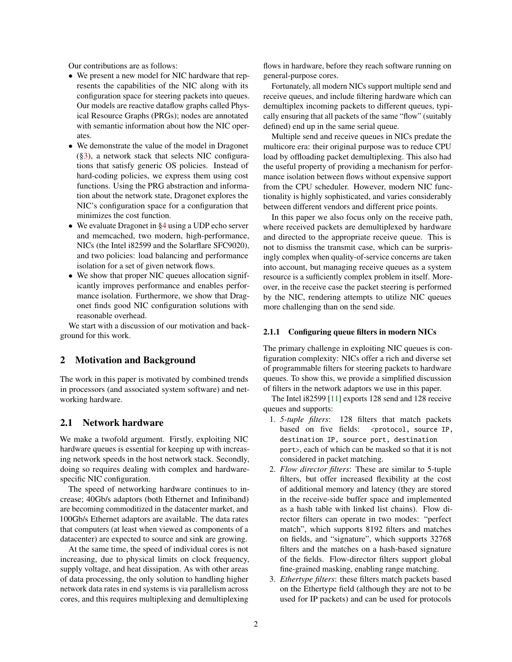Our contributions are as follows:

- We present a new model for NIC hardware that represents the capabilities of the NIC along with its configuration space for steering packets into queues. Our models are reactive dataflow graphs called Physical Resource Graphs (PRGs); nodes are annotated with semantic information about how the NIC operates.
- We demonstrate the value of the model in Dragonet  $(\S3)$ , a network stack that selects NIC configurations that satisfy generic OS policies. Instead of hard-coding policies, we express them using cost functions. Using the PRG abstraction and information about the network state, Dragonet explores the NIC's configuration space for a configuration that minimizes the cost function.
- We evaluate Dragonet in [§4](#page-9-0) using a UDP echo server and memcached, two modern, high-performance, NICs (the Intel i82599 and the Solarflare SFC9020), and two policies: load balancing and performance isolation for a set of given network flows.
- We show that proper NIC queues allocation significantly improves performance and enables performance isolation. Furthermore, we show that Dragonet finds good NIC configuration solutions with reasonable overhead.

We start with a discussion of our motivation and background for this work.

### 2 Motivation and Background

The work in this paper is motivated by combined trends in processors (and associated system software) and networking hardware.

# 2.1 Network hardware

We make a twofold argument. Firstly, exploiting NIC hardware queues is essential for keeping up with increasing network speeds in the host network stack. Secondly, doing so requires dealing with complex and hardwarespecific NIC configuration.

The speed of networking hardware continues to increase; 40Gb/s adaptors (both Ethernet and Infiniband) are becoming commoditized in the datacenter market, and 100Gb/s Ethernet adaptors are available. The data rates that computers (at least when viewed as components of a datacenter) are expected to source and sink are growing.

At the same time, the speed of individual cores is not increasing, due to physical limits on clock frequency, supply voltage, and heat dissipation. As with other areas of data processing, the only solution to handling higher network data rates in end systems is via parallelism across cores, and this requires multiplexing and demultiplexing

flows in hardware, before they reach software running on general-purpose cores.

Fortunately, all modern NICs support multiple send and receive queues, and include filtering hardware which can demultiplex incoming packets to different queues, typically ensuring that all packets of the same "flow" (suitably defined) end up in the same serial queue.

Multiple send and receive queues in NICs predate the multicore era: their original purpose was to reduce CPU load by offloading packet demultiplexing. This also had the useful property of providing a mechanism for performance isolation between flows without expensive support from the CPU scheduler. However, modern NIC functionality is highly sophisticated, and varies considerably between different vendors and different price points.

In this paper we also focus only on the receive path, where received packets are demultiplexed by hardware and directed to the appropriate receive queue. This is not to dismiss the transmit case, which can be surprisingly complex when quality-of-service concerns are taken into account, but managing receive queues as a system resource is a sufficiently complex problem in itself. Moreover, in the receive case the packet steering is performed by the NIC, rendering attempts to utilize NIC queues more challenging than on the send side.

#### <span id="page-1-0"></span>2.1.1 Configuring queue filters in modern NICs

The primary challenge in exploiting NIC queues is configuration complexity: NICs offer a rich and diverse set of programmable filters for steering packets to hardware queues. To show this, we provide a simplified discussion of filters in the network adaptors we use in this paper.

The Intel i82599 [\[11\]](#page-13-5) exports 128 send and 128 receive queues and supports:

- 1. *5-tuple filters*: 128 filters that match packets based on five fields: <protocol, source IP, destination IP, source port, destination port>, each of which can be masked so that it is not considered in packet matching.
- 2. *Flow director filters*: These are similar to 5-tuple filters, but offer increased flexibility at the cost of additional memory and latency (they are stored in the receive-side buffer space and implemented as a hash table with linked list chains). Flow director filters can operate in two modes: "perfect match", which supports 8192 filters and matches on fields, and "signature", which supports 32768 filters and the matches on a hash-based signature of the fields. Flow-director filters support global fine-grained masking, enabling range matching.
- 3. *Ethertype filters*: these filters match packets based on the Ethertype field (although they are not to be used for IP packets) and can be used for protocols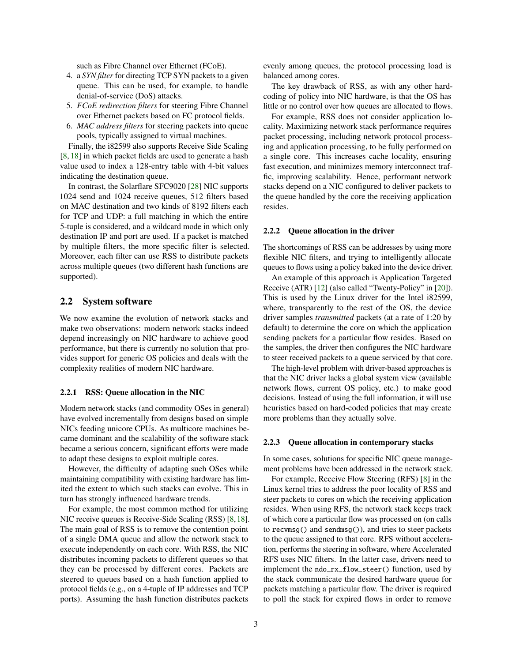such as Fibre Channel over Ethernet (FCoE).

- 4. a *SYN filter* for directing TCP SYN packets to a given queue. This can be used, for example, to handle denial-of-service (DoS) attacks.
- 5. *FCoE redirection filters* for steering Fibre Channel over Ethernet packets based on FC protocol fields.
- 6. *MAC address filters* for steering packets into queue pools, typically assigned to virtual machines.

Finally, the i82599 also supports Receive Side Scaling [\[8,](#page-13-6) [18\]](#page-13-7) in which packet fields are used to generate a hash value used to index a 128-entry table with 4-bit values indicating the destination queue.

In contrast, the Solarflare SFC9020 [\[28\]](#page-14-1) NIC supports 1024 send and 1024 receive queues, 512 filters based on MAC destination and two kinds of 8192 filters each for TCP and UDP: a full matching in which the entire 5-tuple is considered, and a wildcard mode in which only destination IP and port are used. If a packet is matched by multiple filters, the more specific filter is selected. Moreover, each filter can use RSS to distribute packets across multiple queues (two different hash functions are supported).

### 2.2 System software

We now examine the evolution of network stacks and make two observations: modern network stacks indeed depend increasingly on NIC hardware to achieve good performance, but there is currently no solution that provides support for generic OS policies and deals with the complexity realities of modern NIC hardware.

#### 2.2.1 RSS: Queue allocation in the NIC

Modern network stacks (and commodity OSes in general) have evolved incrementally from designs based on simple NICs feeding unicore CPUs. As multicore machines became dominant and the scalability of the software stack became a serious concern, significant efforts were made to adapt these designs to exploit multiple cores.

However, the difficulty of adapting such OSes while maintaining compatibility with existing hardware has limited the extent to which such stacks can evolve. This in turn has strongly influenced hardware trends.

For example, the most common method for utilizing NIC receive queues is Receive-Side Scaling (RSS) [\[8,](#page-13-6)[18\]](#page-13-7). The main goal of RSS is to remove the contention point of a single DMA queue and allow the network stack to execute independently on each core. With RSS, the NIC distributes incoming packets to different queues so that they can be processed by different cores. Packets are steered to queues based on a hash function applied to protocol fields (e.g., on a 4-tuple of IP addresses and TCP ports). Assuming the hash function distributes packets evenly among queues, the protocol processing load is balanced among cores.

The key drawback of RSS, as with any other hardcoding of policy into NIC hardware, is that the OS has little or no control over how queues are allocated to flows.

For example, RSS does not consider application locality. Maximizing network stack performance requires packet processing, including network protocol processing and application processing, to be fully performed on a single core. This increases cache locality, ensuring fast execution, and minimizes memory interconnect traffic, improving scalability. Hence, performant network stacks depend on a NIC configured to deliver packets to the queue handled by the core the receiving application resides.

#### 2.2.2 Queue allocation in the driver

The shortcomings of RSS can be addresses by using more flexible NIC filters, and trying to intelligently allocate queues to flows using a policy baked into the device driver.

An example of this approach is Application Targeted Receive (ATR) [\[12\]](#page-13-8) (also called "Twenty-Policy" in [\[20\]](#page-13-3)). This is used by the Linux driver for the Intel i82599, where, transparently to the rest of the OS, the device driver samples *transmitted* packets (at a rate of 1:20 by default) to determine the core on which the application sending packets for a particular flow resides. Based on the samples, the driver then configures the NIC hardware to steer received packets to a queue serviced by that core.

The high-level problem with driver-based approaches is that the NIC driver lacks a global system view (available network flows, current OS policy, etc.) to make good decisions. Instead of using the full information, it will use heuristics based on hard-coded policies that may create more problems than they actually solve.

#### 2.2.3 Queue allocation in contemporary stacks

In some cases, solutions for specific NIC queue management problems have been addressed in the network stack.

For example, Receive Flow Steering (RFS) [\[8\]](#page-13-6) in the Linux kernel tries to address the poor locality of RSS and steer packets to cores on which the receiving application resides. When using RFS, the network stack keeps track of which core a particular flow was processed on (on calls to recvmsg() and sendmsg()), and tries to steer packets to the queue assigned to that core. RFS without acceleration, performs the steering in software, where Accelerated RFS uses NIC filters. In the latter case, drivers need to implement the ndo\_rx\_flow\_steer() function, used by the stack communicate the desired hardware queue for packets matching a particular flow. The driver is required to poll the stack for expired flows in order to remove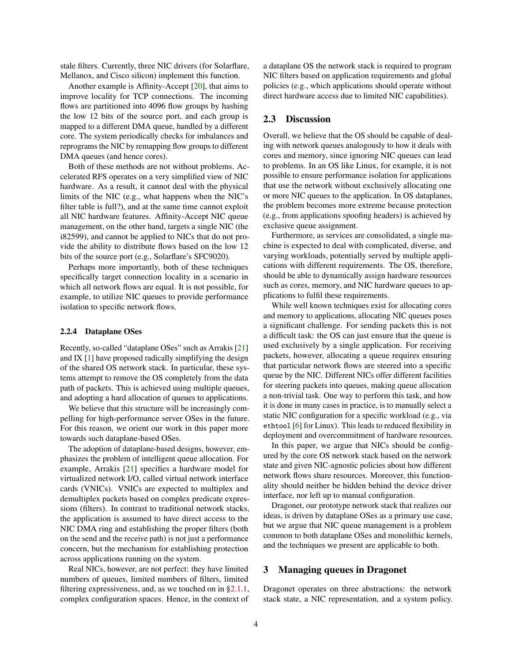stale filters. Currently, three NIC drivers (for Solarflare, Mellanox, and Cisco silicon) implement this function.

Another example is Affinity-Accept [\[20\]](#page-13-3), that aims to improve locality for TCP connections. The incoming flows are partitioned into 4096 flow groups by hashing the low 12 bits of the source port, and each group is mapped to a different DMA queue, handled by a different core. The system periodically checks for imbalances and reprograms the NIC by remapping flow groups to different DMA queues (and hence cores).

Both of these methods are not without problems. Accelerated RFS operates on a very simplified view of NIC hardware. As a result, it cannot deal with the physical limits of the NIC (e.g., what happens when the NIC's filter table is full?), and at the same time cannot exploit all NIC hardware features. Affinity-Accept NIC queue management, on the other hand, targets a single NIC (the i82599), and cannot be applied to NICs that do not provide the ability to distribute flows based on the low 12 bits of the source port (e.g., Solarflare's SFC9020).

Perhaps more importantly, both of these techniques specifically target connection locality in a scenario in which all network flows are equal. It is not possible, for example, to utilize NIC queues to provide performance isolation to specific network flows.

#### 2.2.4 Dataplane OSes

Recently, so-called "dataplane OSes" such as Arrakis [\[21\]](#page-13-4) and IX [\[1\]](#page-12-0) have proposed radically simplifying the design of the shared OS network stack. In particular, these systems attempt to remove the OS completely from the data path of packets. This is achieved using multiple queues, and adopting a hard allocation of queues to applications.

We believe that this structure will be increasingly compelling for high-performance server OSes in the future. For this reason, we orient our work in this paper more towards such dataplane-based OSes.

The adoption of dataplane-based designs, however, emphasizes the problem of intelligent queue allocation. For example, Arrakis [\[21\]](#page-13-4) specifies a hardware model for virtualized network I/O, called virtual network interface cards (VNICs). VNICs are expected to multiplex and demultiplex packets based on complex predicate expressions (filters). In contrast to traditional network stacks, the application is assumed to have direct access to the NIC DMA ring and establishing the proper filters (both on the send and the receive path) is not just a performance concern, but the mechanism for establishing protection across applications running on the system.

Real NICs, however, are not perfect: they have limited numbers of queues, limited numbers of filters, limited filtering expressiveness, and, as we touched on in  $\S 2.1.1$ , complex configuration spaces. Hence, in the context of a dataplane OS the network stack is required to program NIC filters based on application requirements and global policies (e.g., which applications should operate without direct hardware access due to limited NIC capabilities).

# 2.3 Discussion

Overall, we believe that the OS should be capable of dealing with network queues analogously to how it deals with cores and memory, since ignoring NIC queues can lead to problems. In an OS like Linux, for example, it is not possible to ensure performance isolation for applications that use the network without exclusively allocating one or more NIC queues to the application. In OS dataplanes, the problem becomes more extreme because protection (e.g., from applications spoofing headers) is achieved by exclusive queue assignment.

Furthermore, as services are consolidated, a single machine is expected to deal with complicated, diverse, and varying workloads, potentially served by multiple applications with different requirements. The OS, therefore, should be able to dynamically assign hardware resources such as cores, memory, and NIC hardware queues to applications to fulfil these requirements.

While well known techniques exist for allocating cores and memory to applications, allocating NIC queues poses a significant challenge. For sending packets this is not a difficult task: the OS can just ensure that the queue is used exclusively by a single application. For receiving packets, however, allocating a queue requires ensuring that particular network flows are steered into a specific queue by the NIC. Different NICs offer different facilities for steering packets into queues, making queue allocation a non-trivial task. One way to perform this task, and how it is done in many cases in practice, is to manually select a static NIC configuration for a specific workload (e.g., via ethtool [\[6\]](#page-13-9) for Linux). This leads to reduced flexibility in deployment and overcommitment of hardware resources.

In this paper, we argue that NICs should be configured by the core OS network stack based on the network state and given NIC-agnostic policies about how different network flows share resources. Moreover, this functionality should neither be hidden behind the device driver interface, nor left up to manual configuration.

Dragonet, our prototype network stack that realizes our ideas, is driven by dataplane OSes as a primary use case, but we argue that NIC queue management is a problem common to both dataplane OSes and monolithic kernels, and the techniques we present are applicable to both.

### <span id="page-3-0"></span>3 Managing queues in Dragonet

Dragonet operates on three abstractions: the network stack state, a NIC representation, and a system policy.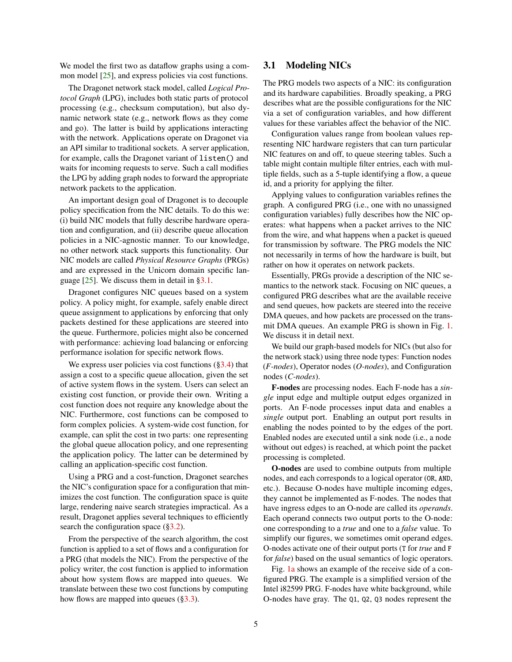We model the first two as dataflow graphs using a com-mon model [\[25\]](#page-13-10), and express policies via cost functions.

The Dragonet network stack model, called *Logical Protocol Graph* (LPG), includes both static parts of protocol processing (e.g., checksum computation), but also dynamic network state (e.g., network flows as they come and go). The latter is build by applications interacting with the network. Applications operate on Dragonet via an API similar to traditional sockets. A server application, for example, calls the Dragonet variant of listen() and waits for incoming requests to serve. Such a call modifies the LPG by adding graph nodes to forward the appropriate network packets to the application.

An important design goal of Dragonet is to decouple policy specification from the NIC details. To do this we: (i) build NIC models that fully describe hardware operation and configuration, and (ii) describe queue allocation policies in a NIC-agnostic manner. To our knowledge, no other network stack supports this functionality. Our NIC models are called *Physical Resource Graphs* (PRGs) and are expressed in the Unicorn domain specific language [\[25\]](#page-13-10). We discuss them in detail in [§3.1.](#page-4-0)

Dragonet configures NIC queues based on a system policy. A policy might, for example, safely enable direct queue assignment to applications by enforcing that only packets destined for these applications are steered into the queue. Furthermore, policies might also be concerned with performance: achieving load balancing or enforcing performance isolation for specific network flows.

We express user policies via cost functions  $(\S3.4)$  that assign a cost to a specific queue allocation, given the set of active system flows in the system. Users can select an existing cost function, or provide their own. Writing a cost function does not require any knowledge about the NIC. Furthermore, cost functions can be composed to form complex policies. A system-wide cost function, for example, can split the cost in two parts: one representing the global queue allocation policy, and one representing the application policy. The latter can be determined by calling an application-specific cost function.

Using a PRG and a cost-function, Dragonet searches the NIC's configuration space for a configuration that minimizes the cost function. The configuration space is quite large, rendering naive search strategies impractical. As a result, Dragonet applies several techniques to efficiently search the configuration space  $(\S3.2)$ .

From the perspective of the search algorithm, the cost function is applied to a set of flows and a configuration for a PRG (that models the NIC). From the perspective of the policy writer, the cost function is applied to information about how system flows are mapped into queues. We translate between these two cost functions by computing how flows are mapped into queues ([§3.3\)](#page-7-0).

# <span id="page-4-0"></span>3.1 Modeling NICs

The PRG models two aspects of a NIC: its configuration and its hardware capabilities. Broadly speaking, a PRG describes what are the possible configurations for the NIC via a set of configuration variables, and how different values for these variables affect the behavior of the NIC.

Configuration values range from boolean values representing NIC hardware registers that can turn particular NIC features on and off, to queue steering tables. Such a table might contain multiple filter entries, each with multiple fields, such as a 5-tuple identifying a flow, a queue id, and a priority for applying the filter.

Applying values to configuration variables refines the graph. A configured PRG (i.e., one with no unassigned configuration variables) fully describes how the NIC operates: what happens when a packet arrives to the NIC from the wire, and what happens when a packet is queued for transmission by software. The PRG models the NIC not necessarily in terms of how the hardware is built, but rather on how it operates on network packets.

Essentially, PRGs provide a description of the NIC semantics to the network stack. Focusing on NIC queues, a configured PRG describes what are the available receive and send queues, how packets are steered into the receive DMA queues, and how packets are processed on the transmit DMA queues. An example PRG is shown in Fig. [1.](#page-5-1) We discuss it in detail next.

We build our graph-based models for NICs (but also for the network stack) using three node types: Function nodes (*F-nodes*), Operator nodes (*O-nodes*), and Configuration nodes (*C-nodes*).

F-nodes are processing nodes. Each F-node has a *single* input edge and multiple output edges organized in ports. An F-node processes input data and enables a *single* output port. Enabling an output port results in enabling the nodes pointed to by the edges of the port. Enabled nodes are executed until a sink node (i.e., a node without out edges) is reached, at which point the packet processing is completed.

O-nodes are used to combine outputs from multiple nodes, and each corresponds to a logical operator (OR, AND, etc.). Because O-nodes have multiple incoming edges, they cannot be implemented as F-nodes. The nodes that have ingress edges to an O-node are called its *operands*. Each operand connects two output ports to the O-node: one corresponding to a *true* and one to a *false* value. To simplify our figures, we sometimes omit operand edges. O-nodes activate one of their output ports (T for *true* and F for *false*) based on the usual semantics of logic operators.

Fig. [1a](#page-5-2) shows an example of the receive side of a configured PRG. The example is a simplified version of the Intel i82599 PRG. F-nodes have white background, while O-nodes have gray. The Q1, Q2, Q3 nodes represent the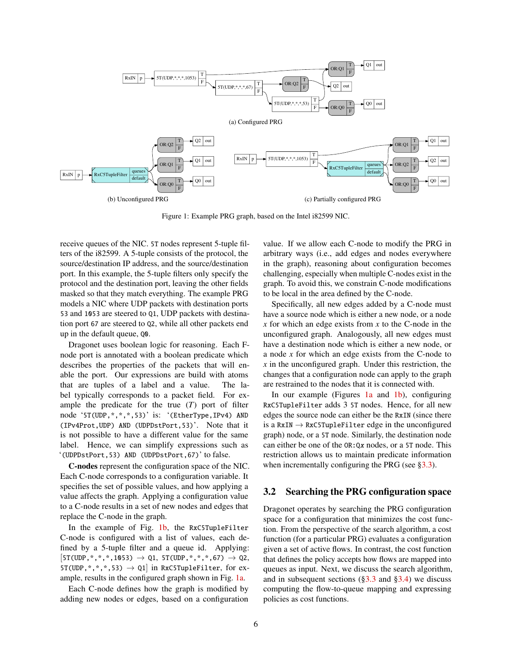<span id="page-5-3"></span><span id="page-5-2"></span><span id="page-5-1"></span>

Figure 1: Example PRG graph, based on the Intel i82599 NIC.

receive queues of the NIC. 5T nodes represent 5-tuple filters of the i82599. A 5-tuple consists of the protocol, the source/destination IP address, and the source/destination port. In this example, the 5-tuple filters only specify the protocol and the destination port, leaving the other fields masked so that they match everything. The example PRG models a NIC where UDP packets with destination ports 53 and 1053 are steered to Q1, UDP packets with destination port 67 are steered to Q2, while all other packets end up in the default queue, Q0.

Dragonet uses boolean logic for reasoning. Each Fnode port is annotated with a boolean predicate which describes the properties of the packets that will enable the port. Our expressions are build with atoms that are tuples of a label and a value. The label typically corresponds to a packet field. For example the predicate for the true (*T*) port of filter node '5T(UDP,\*,\*,\*,53)' is: '(EtherType,IPv4) AND (IPv4Prot,UDP) AND (UDPDstPort,53)'. Note that it is not possible to have a different value for the same label. Hence, we can simplify expressions such as '(UDPDstPort,53) AND (UDPDstPort,67)' to false.

C-nodes represent the configuration space of the NIC. Each C-node corresponds to a configuration variable. It specifies the set of possible values, and how applying a value affects the graph. Applying a configuration value to a C-node results in a set of new nodes and edges that replace the C-node in the graph.

In the example of Fig. [1b,](#page-5-3) the RxC5TupleFilter C-node is configured with a list of values, each defined by a 5-tuple filter and a queue id. Applying:  $[5T(UDP, *, *, *, 1053) \rightarrow Q1, 5T(UDP, *, *, *, 67) \rightarrow Q2,$ 5T(UDP,  $*,*,*,$ 53)  $\rightarrow$  Q1 in RxC5TupleFilter, for example, results in the configured graph shown in Fig. [1a.](#page-5-2)

Each C-node defines how the graph is modified by adding new nodes or edges, based on a configuration <span id="page-5-4"></span>value. If we allow each C-node to modify the PRG in arbitrary ways (i.e., add edges and nodes everywhere in the graph), reasoning about configuration becomes challenging, especially when multiple C-nodes exist in the graph. To avoid this, we constrain C-node modifications to be local in the area defined by the C-node.

Specifically, all new edges added by a C-node must have a source node which is either a new node, or a node *x* for which an edge exists from *x* to the C-node in the unconfigured graph. Analogously, all new edges must have a destination node which is either a new node, or a node *x* for which an edge exists from the C-node to *x* in the unconfigured graph. Under this restriction, the changes that a configuration node can apply to the graph are restrained to the nodes that it is connected with.

In our example (Figures [1a](#page-5-2) and [1b\)](#page-5-3), configuring RxC5TupleFilter adds 3 5T nodes. Hence, for all new edges the source node can either be the RxIN (since there is a RxIN  $\rightarrow$  RxC5TupleFilter edge in the unconfigured graph) node, or a 5T node. Similarly, the destination node can either be one of the OR:Qx nodes, or a 5T node. This restriction allows us to maintain predicate information when incrementally configuring the PRG (see  $\S 3.3$ ).

### <span id="page-5-0"></span>3.2 Searching the PRG configuration space

Dragonet operates by searching the PRG configuration space for a configuration that minimizes the cost function. From the perspective of the search algorithm, a cost function (for a particular PRG) evaluates a configuration given a set of active flows. In contrast, the cost function that defines the policy accepts how flows are mapped into queues as input. Next, we discuss the search algorithm, and in subsequent sections  $(\S3.3 \text{ and } \S3.4)$  we discuss computing the flow-to-queue mapping and expressing policies as cost functions.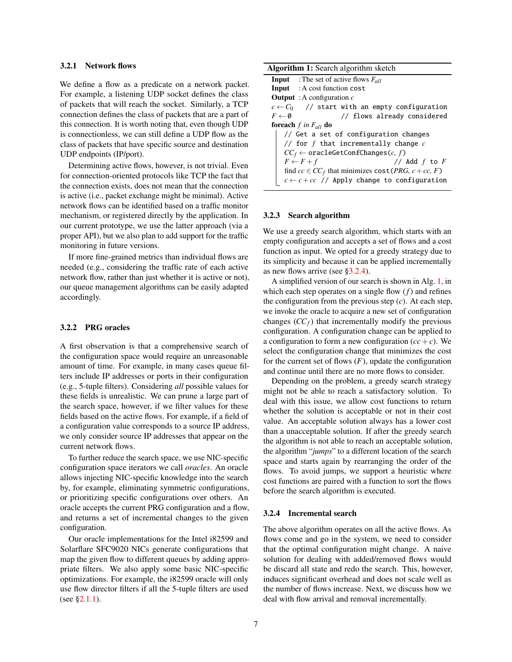#### 3.2.1 Network flows

We define a flow as a predicate on a network packet. For example, a listening UDP socket defines the class of packets that will reach the socket. Similarly, a TCP connection defines the class of packets that are a part of this connection. It is worth noting that, even though UDP is connectionless, we can still define a UDP flow as the class of packets that have specific source and destination UDP endpoints (IP/port).

Determining active flows, however, is not trivial. Even for connection-oriented protocols like TCP the fact that the connection exists, does not mean that the connection is active (i.e., packet exchange might be minimal). Active network flows can be identified based on a traffic monitor mechanism, or registered directly by the application. In our current prototype, we use the latter approach (via a proper API), but we also plan to add support for the traffic monitoring in future versions.

If more fine-grained metrics than individual flows are needed (e.g., considering the traffic rate of each active network flow, rather than just whether it is active or not), our queue management algorithms can be easily adapted accordingly.

#### 3.2.2 PRG oracles

A first observation is that a comprehensive search of the configuration space would require an unreasonable amount of time. For example, in many cases queue filters include IP addresses or ports in their configuration (e.g., 5-tuple filters). Considering *all* possible values for these fields is unrealistic. We can prune a large part of the search space, however, if we filter values for these fields based on the active flows. For example, if a field of a configuration value corresponds to a source IP address, we only consider source IP addresses that appear on the current network flows.

To further reduce the search space, we use NIC-specific configuration space iterators we call *oracles*. An oracle allows injecting NIC-specific knowledge into the search by, for example, eliminating symmetric configurations, or prioritizing specific configurations over others. An oracle accepts the current PRG configuration and a flow, and returns a set of incremental changes to the given configuration.

Our oracle implementations for the Intel i82599 and Solarflare SFC9020 NICs generate configurations that map the given flow to different queues by adding appropriate filters. We also apply some basic NIC-specific optimizations. For example, the i82599 oracle will only use flow director filters if all the 5-tuple filters are used (see [§2.1.1\)](#page-1-0).

| Algorithm 1: Search algorithm sketch                                        |                                                         |  |  |  |  |  |
|-----------------------------------------------------------------------------|---------------------------------------------------------|--|--|--|--|--|
|                                                                             | <b>Input</b> : The set of active flows $F_{all}$        |  |  |  |  |  |
|                                                                             | <b>Input</b> : A cost function cost                     |  |  |  |  |  |
|                                                                             | <b>Output</b> : A configuration $c$                     |  |  |  |  |  |
|                                                                             | $c \leftarrow C_0$ // start with an empty configuration |  |  |  |  |  |
| $F \leftarrow \emptyset$                                                    | // flows already considered                             |  |  |  |  |  |
| <b>foreach</b> f in $F_{all}$ do                                            |                                                         |  |  |  |  |  |
|                                                                             | // Get a set of configuration changes                   |  |  |  |  |  |
| // for f that incrementally change $c$                                      |                                                         |  |  |  |  |  |
| $CC_f \leftarrow$ oracleGetConfChanges(c, f)                                |                                                         |  |  |  |  |  |
|                                                                             | $F \leftarrow F + f$<br>// Add $f$ to $F$               |  |  |  |  |  |
| find $cc \in CC_f$ that minimizes cost ( <i>PRG</i> , $c + cc$ , <i>F</i> ) |                                                         |  |  |  |  |  |
|                                                                             | $c \leftarrow c + cc$ // Apply change to configuration  |  |  |  |  |  |

#### <span id="page-6-1"></span>3.2.3 Search algorithm

We use a greedy search algorithm, which starts with an empty configuration and accepts a set of flows and a cost function as input. We opted for a greedy strategy due to its simplicity and because it can be applied incrementally as new flows arrive (see [§3.2.4\)](#page-6-0).

A simplified version of our search is shown in Alg. [1,](#page-6-1) in which each step operates on a single flow (*f*) and refines the configuration from the previous step  $(c)$ . At each step, we invoke the oracle to acquire a new set of configuration changes  $(CC_f)$  that incrementally modify the previous configuration. A configuration change can be applied to a configuration to form a new configuration  $(cc + c)$ . We select the configuration change that minimizes the cost for the current set of flows  $(F)$ , update the configuration and continue until there are no more flows to consider.

Depending on the problem, a greedy search strategy might not be able to reach a satisfactory solution. To deal with this issue, we allow cost functions to return whether the solution is acceptable or not in their cost value. An acceptable solution always has a lower cost than a unacceptable solution. If after the greedy search the algorithm is not able to reach an acceptable solution, the algorithm "*jumps*" to a different location of the search space and starts again by rearranging the order of the flows. To avoid jumps, we support a heuristic where cost functions are paired with a function to sort the flows before the search algorithm is executed.

#### <span id="page-6-0"></span>3.2.4 Incremental search

The above algorithm operates on all the active flows. As flows come and go in the system, we need to consider that the optimal configuration might change. A naive solution for dealing with added/removed flows would be discard all state and redo the search. This, however, induces significant overhead and does not scale well as the number of flows increase. Next, we discuss how we deal with flow arrival and removal incrementally.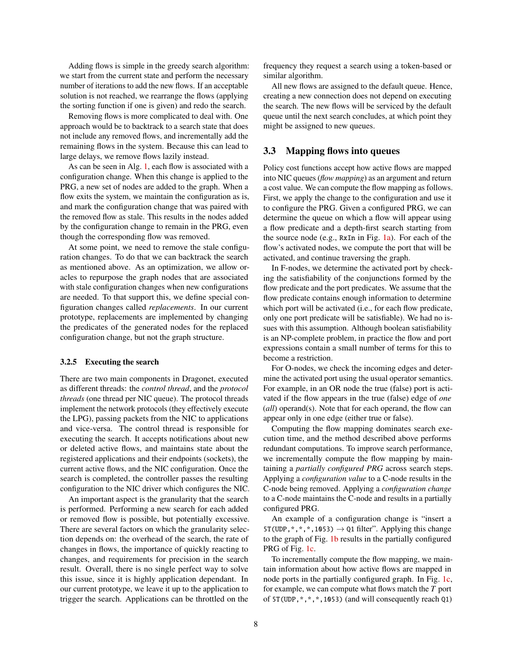Adding flows is simple in the greedy search algorithm: we start from the current state and perform the necessary number of iterations to add the new flows. If an acceptable solution is not reached, we rearrange the flows (applying the sorting function if one is given) and redo the search.

Removing flows is more complicated to deal with. One approach would be to backtrack to a search state that does not include any removed flows, and incrementally add the remaining flows in the system. Because this can lead to large delays, we remove flows lazily instead.

As can be seen in Alg. [1,](#page-6-1) each flow is associated with a configuration change. When this change is applied to the PRG, a new set of nodes are added to the graph. When a flow exits the system, we maintain the configuration as is, and mark the configuration change that was paired with the removed flow as stale. This results in the nodes added by the configuration change to remain in the PRG, even though the corresponding flow was removed.

At some point, we need to remove the stale configuration changes. To do that we can backtrack the search as mentioned above. As an optimization, we allow oracles to repurpose the graph nodes that are associated with stale configuration changes when new configurations are needed. To that support this, we define special configuration changes called *replacements*. In our current prototype, replacements are implemented by changing the predicates of the generated nodes for the replaced configuration change, but not the graph structure.

#### 3.2.5 Executing the search

There are two main components in Dragonet, executed as different threads: the *control thread*, and the *protocol threads* (one thread per NIC queue). The protocol threads implement the network protocols (they effectively execute the LPG), passing packets from the NIC to applications and vice-versa. The control thread is responsible for executing the search. It accepts notifications about new or deleted active flows, and maintains state about the registered applications and their endpoints (sockets), the current active flows, and the NIC configuration. Once the search is completed, the controller passes the resulting configuration to the NIC driver which configures the NIC.

An important aspect is the granularity that the search is performed. Performing a new search for each added or removed flow is possible, but potentially excessive. There are several factors on which the granularity selection depends on: the overhead of the search, the rate of changes in flows, the importance of quickly reacting to changes, and requirements for precision in the search result. Overall, there is no single perfect way to solve this issue, since it is highly application dependant. In our current prototype, we leave it up to the application to trigger the search. Applications can be throttled on the

frequency they request a search using a token-based or similar algorithm.

All new flows are assigned to the default queue. Hence, creating a new connection does not depend on executing the search. The new flows will be serviced by the default queue until the next search concludes, at which point they might be assigned to new queues.

### <span id="page-7-0"></span>3.3 Mapping flows into queues

Policy cost functions accept how active flows are mapped into NIC queues (*flow mapping*) as an argument and return a cost value. We can compute the flow mapping as follows. First, we apply the change to the configuration and use it to configure the PRG. Given a configured PRG, we can determine the queue on which a flow will appear using a flow predicate and a depth-first search starting from the source node (e.g., RxIn in Fig. [1a\)](#page-5-2). For each of the flow's activated nodes, we compute the port that will be activated, and continue traversing the graph.

In F-nodes, we determine the activated port by checking the satisfiability of the conjunctions formed by the flow predicate and the port predicates. We assume that the flow predicate contains enough information to determine which port will be activated (i.e., for each flow predicate, only one port predicate will be satisfiable). We had no issues with this assumption. Although boolean satisfiability is an NP-complete problem, in practice the flow and port expressions contain a small number of terms for this to become a restriction.

For O-nodes, we check the incoming edges and determine the activated port using the usual operator semantics. For example, in an OR node the true (false) port is activated if the flow appears in the true (false) edge of *one* (*all*) operand(s). Note that for each operand, the flow can appear only in one edge (either true or false).

Computing the flow mapping dominates search execution time, and the method described above performs redundant computations. To improve search performance, we incrementally compute the flow mapping by maintaining a *partially configured PRG* across search steps. Applying a *configuration value* to a C-node results in the C-node being removed. Applying a *configuration change* to a C-node maintains the C-node and results in a partially configured PRG.

An example of a configuration change is "insert a  $5T(UDP, *, *, *, 1053) \rightarrow Q1$  filter". Applying this change to the graph of Fig. [1b](#page-5-3) results in the partially configured PRG of Fig. [1c.](#page-5-4)

To incrementally compute the flow mapping, we maintain information about how active flows are mapped in node ports in the partially configured graph. In Fig. [1c,](#page-5-4) for example, we can compute what flows match the *T* port of 5T(UDP,\*,\*,\*,1053) (and will consequently reach Q1)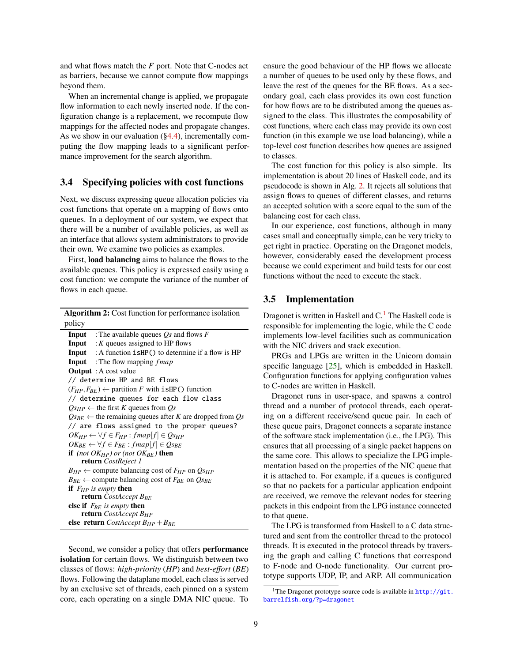and what flows match the *F* port. Note that C-nodes act as barriers, because we cannot compute flow mappings beyond them.

When an incremental change is applied, we propagate flow information to each newly inserted node. If the configuration change is a replacement, we recompute flow mappings for the affected nodes and propagate changes. As we show in our evaluation ([§4.4\)](#page-11-0), incrementally computing the flow mapping leads to a significant performance improvement for the search algorithm.

### <span id="page-8-0"></span>3.4 Specifying policies with cost functions

Next, we discuss expressing queue allocation policies via cost functions that operate on a mapping of flows onto queues. In a deployment of our system, we expect that there will be a number of available policies, as well as an interface that allows system administrators to provide their own. We examine two policies as examples.

First, load balancing aims to balance the flows to the available queues. This policy is expressed easily using a cost function: we compute the variance of the number of flows in each queue.

| Algorithm 2: Cost function for performance isolation                          |                                                                  |  |  |  |  |  |
|-------------------------------------------------------------------------------|------------------------------------------------------------------|--|--|--|--|--|
| policy                                                                        |                                                                  |  |  |  |  |  |
|                                                                               | <b>Input</b> : The available queues $Q_s$ and flows $F$          |  |  |  |  |  |
|                                                                               | <b>Input</b> : $K$ queues assigned to HP flows                   |  |  |  |  |  |
|                                                                               | <b>Input</b> : A function $i$ sHP() to determine if a flow is HP |  |  |  |  |  |
|                                                                               | <b>Input</b> : The flow mapping $fmap$                           |  |  |  |  |  |
|                                                                               | <b>Output</b> : A cost value                                     |  |  |  |  |  |
| // determine HP and BE flows                                                  |                                                                  |  |  |  |  |  |
| $(F_{HP}, F_{RF}) \leftarrow$ partition F with isHP() function                |                                                                  |  |  |  |  |  |
| // determine queues for each flow class                                       |                                                                  |  |  |  |  |  |
|                                                                               | $Q_{SHP} \leftarrow$ the first K queues from $Q_S$               |  |  |  |  |  |
| $Q_{SBE}$ $\leftarrow$ the remaining queues after K are dropped from Qs       |                                                                  |  |  |  |  |  |
| // are flows assigned to the proper queues?                                   |                                                                  |  |  |  |  |  |
| $OK_{HP} \leftarrow \forall f \in F_{HP} : \text{fmap}[f] \in \text{O}_{SHP}$ |                                                                  |  |  |  |  |  |
| $OK_{BE} \leftarrow \forall f \in F_{BF} : \text{fmap}[f] \in \text{O}_{SBE}$ |                                                                  |  |  |  |  |  |
| <b>if</b> (not $OK_{HP}$ ) or (not $OK_{BF}$ ) <b>then</b>                    |                                                                  |  |  |  |  |  |
| <b>return</b> CostReject 1                                                    |                                                                  |  |  |  |  |  |
| $B_{HP} \leftarrow$ compute balancing cost of $F_{HP}$ on $Q_{SHP}$           |                                                                  |  |  |  |  |  |
| $B_{BE} \leftarrow$ compute balancing cost of $F_{BE}$ on $O_{SBE}$           |                                                                  |  |  |  |  |  |
| <b>if</b> $F_{HP}$ is empty <b>then</b>                                       |                                                                  |  |  |  |  |  |
| <b>return</b> CostAccept $B_{BE}$                                             |                                                                  |  |  |  |  |  |
| else if $F_{RF}$ is empty then                                                |                                                                  |  |  |  |  |  |
| <b>return</b> CostAccept $B_{HP}$                                             |                                                                  |  |  |  |  |  |
| else return CostAccept $B_{HP} + B_{BE}$                                      |                                                                  |  |  |  |  |  |

<span id="page-8-1"></span>Second, we consider a policy that offers performance isolation for certain flows. We distinguish between two classes of flows: *high-priority* (*HP*) and *best-effort* (*BE*) flows. Following the dataplane model, each class is served by an exclusive set of threads, each pinned on a system core, each operating on a single DMA NIC queue. To ensure the good behaviour of the HP flows we allocate a number of queues to be used only by these flows, and leave the rest of the queues for the BE flows. As a secondary goal, each class provides its own cost function for how flows are to be distributed among the queues assigned to the class. This illustrates the composability of cost functions, where each class may provide its own cost function (in this example we use load balancing), while a top-level cost function describes how queues are assigned to classes.

The cost function for this policy is also simple. Its implementation is about 20 lines of Haskell code, and its pseudocode is shown in Alg. [2.](#page-8-1) It rejects all solutions that assign flows to queues of different classes, and returns an accepted solution with a score equal to the sum of the balancing cost for each class.

In our experience, cost functions, although in many cases small and conceptually simple, can be very tricky to get right in practice. Operating on the Dragonet models, however, considerably eased the development process because we could experiment and build tests for our cost functions without the need to execute the stack.

### 3.5 Implementation

Dragonet is written in Haskell and  $C<sup>1</sup>$  $C<sup>1</sup>$  $C<sup>1</sup>$ . The Haskell code is responsible for implementing the logic, while the C code implements low-level facilities such as communication with the NIC drivers and stack execution.

PRGs and LPGs are written in the Unicorn domain specific language [\[25\]](#page-13-10), which is embedded in Haskell. Configuration functions for applying configuration values to C-nodes are written in Haskell.

Dragonet runs in user-space, and spawns a control thread and a number of protocol threads, each operating on a different receive/send queue pair. In each of these queue pairs, Dragonet connects a separate instance of the software stack implementation (i.e., the LPG). This ensures that all processing of a single packet happens on the same core. This allows to specialize the LPG implementation based on the properties of the NIC queue that it is attached to. For example, if a queues is configured so that no packets for a particular application endpoint are received, we remove the relevant nodes for steering packets in this endpoint from the LPG instance connected to that queue.

The LPG is transformed from Haskell to a C data structured and sent from the controller thread to the protocol threads. It is executed in the protocol threads by traversing the graph and calling C functions that correspond to F-node and O-node functionality. Our current prototype supports UDP, IP, and ARP. All communication

<span id="page-8-2"></span><sup>&</sup>lt;sup>1</sup>The Dragonet prototype source code is available in  $http://git.$ [barrelfish.org/?p=dragonet](http://git.barrelfish.org/?p=dragonet)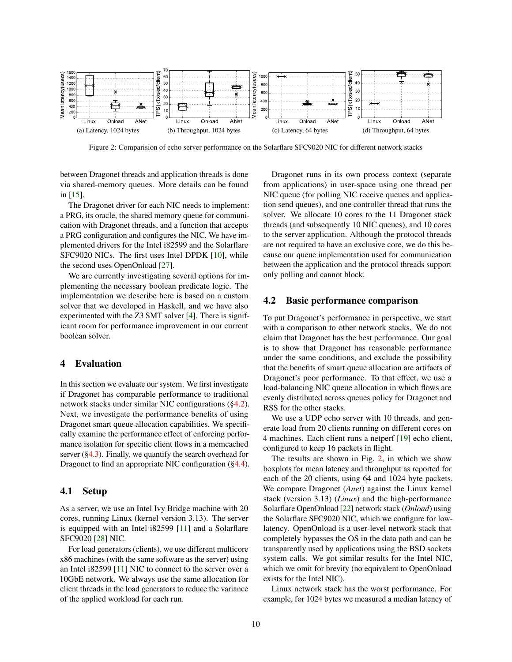<span id="page-9-2"></span>

Figure 2: Comparision of echo server performance on the Solarflare SFC9020 NIC for different network stacks

between Dragonet threads and application threads is done via shared-memory queues. More details can be found in [\[15\]](#page-13-11).

The Dragonet driver for each NIC needs to implement: a PRG, its oracle, the shared memory queue for communication with Dragonet threads, and a function that accepts a PRG configuration and configures the NIC. We have implemented drivers for the Intel i82599 and the Solarflare SFC9020 NICs. The first uses Intel DPDK [\[10\]](#page-13-12), while the second uses OpenOnload [\[27\]](#page-14-2).

We are currently investigating several options for implementing the necessary boolean predicate logic. The implementation we describe here is based on a custom solver that we developed in Haskell, and we have also experimented with the Z3 SMT solver [\[4\]](#page-13-13). There is significant room for performance improvement in our current boolean solver.

### <span id="page-9-0"></span>4 Evaluation

In this section we evaluate our system. We first investigate if Dragonet has comparable performance to traditional network stacks under similar NIC configurations ([§4.2\)](#page-9-1). Next, we investigate the performance benefits of using Dragonet smart queue allocation capabilities. We specifically examine the performance effect of enforcing performance isolation for specific client flows in a memcached server ([§4.3\)](#page-10-0). Finally, we quantify the search overhead for Dragonet to find an appropriate NIC configuration ([§4.4\)](#page-11-0).

### 4.1 Setup

As a server, we use an Intel Ivy Bridge machine with 20 cores, running Linux (kernel version 3.13). The server is equipped with an Intel i82599 [\[11\]](#page-13-5) and a Solarflare SFC9020 [\[28\]](#page-14-1) NIC.

For load generators (clients), we use different multicore x86 machines (with the same software as the server) using an Intel i82599 [\[11\]](#page-13-5) NIC to connect to the server over a 10GbE network. We always use the same allocation for client threads in the load generators to reduce the variance of the applied workload for each run.

Dragonet runs in its own process context (separate from applications) in user-space using one thread per NIC queue (for polling NIC receive queues and application send queues), and one controller thread that runs the solver. We allocate 10 cores to the 11 Dragonet stack threads (and subsequently 10 NIC queues), and 10 cores to the server application. Although the protocol threads are not required to have an exclusive core, we do this because our queue implementation used for communication between the application and the protocol threads support only polling and cannot block.

### <span id="page-9-1"></span>4.2 Basic performance comparison

To put Dragonet's performance in perspective, we start with a comparison to other network stacks. We do not claim that Dragonet has the best performance. Our goal is to show that Dragonet has reasonable performance under the same conditions, and exclude the possibility that the benefits of smart queue allocation are artifacts of Dragonet's poor performance. To that effect, we use a load-balancing NIC queue allocation in which flows are evenly distributed across queues policy for Dragonet and RSS for the other stacks.

We use a UDP echo server with 10 threads, and generate load from 20 clients running on different cores on 4 machines. Each client runs a netperf [\[19\]](#page-13-14) echo client, configured to keep 16 packets in flight.

The results are shown in Fig. [2,](#page-9-2) in which we show boxplots for mean latency and throughput as reported for each of the 20 clients, using 64 and 1024 byte packets. We compare Dragonet (*Anet*) against the Linux kernel stack (version 3.13) (*Linux*) and the high-performance Solarflare OpenOnload [\[22\]](#page-13-15) network stack (*Onload*) using the Solarflare SFC9020 NIC, which we configure for lowlatency. OpenOnload is a user-level network stack that completely bypasses the OS in the data path and can be transparently used by applications using the BSD sockets system calls. We got similar results for the Intel NIC, which we omit for brevity (no equivalent to OpenOnload exists for the Intel NIC).

Linux network stack has the worst performance. For example, for 1024 bytes we measured a median latency of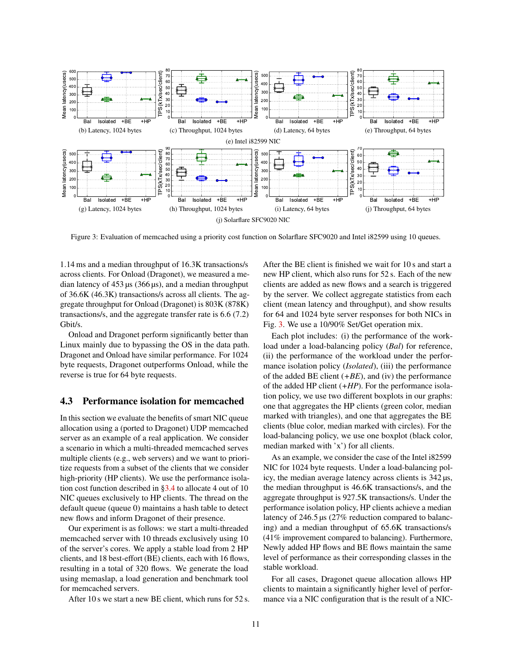<span id="page-10-1"></span>

Figure 3: Evaluation of memcached using a priority cost function on Solarflare SFC9020 and Intel i82599 using 10 queues.

1.14 ms and a median throughput of 16.3K transactions/s across clients. For Onload (Dragonet), we measured a median latency of  $453 \mu s$  (366  $\mu s$ ), and a median throughput of 36.6K (46.3K) transactions/s across all clients. The aggregate throughput for Onload (Dragonet) is 803K (878K) transactions/s, and the aggregate transfer rate is 6.6 (7.2) Gbit/s.

Onload and Dragonet perform significantly better than Linux mainly due to bypassing the OS in the data path. Dragonet and Onload have similar performance. For 1024 byte requests, Dragonet outperforms Onload, while the reverse is true for 64 byte requests.

### <span id="page-10-0"></span>4.3 Performance isolation for memcached

In this section we evaluate the benefits of smart NIC queue allocation using a (ported to Dragonet) UDP memcached server as an example of a real application. We consider a scenario in which a multi-threaded memcached serves multiple clients (e.g., web servers) and we want to prioritize requests from a subset of the clients that we consider high-priority (HP clients). We use the performance isolation cost function described in [§3.4](#page-8-0) to allocate 4 out of 10 NIC queues exclusively to HP clients. The thread on the default queue (queue 0) maintains a hash table to detect new flows and inform Dragonet of their presence.

Our experiment is as follows: we start a multi-threaded memcached server with 10 threads exclusively using 10 of the server's cores. We apply a stable load from 2 HP clients, and 18 best-effort (BE) clients, each with 16 flows, resulting in a total of 320 flows. We generate the load using memaslap, a load generation and benchmark tool for memcached servers.

After 10 s we start a new BE client, which runs for 52 s.

After the BE client is finished we wait for 10 s and start a new HP client, which also runs for 52 s. Each of the new clients are added as new flows and a search is triggered by the server. We collect aggregate statistics from each client (mean latency and throughput), and show results for 64 and 1024 byte server responses for both NICs in Fig. [3.](#page-10-1) We use a 10/90% Set/Get operation mix.

Each plot includes: (i) the performance of the workload under a load-balancing policy (*Bal*) for reference, (ii) the performance of the workload under the performance isolation policy (*Isolated*), (iii) the performance of the added BE client (*+BE*), and (iv) the performance of the added HP client (*+HP*). For the performance isolation policy, we use two different boxplots in our graphs: one that aggregates the HP clients (green color, median marked with triangles), and one that aggregates the BE clients (blue color, median marked with circles). For the load-balancing policy, we use one boxplot (black color, median marked with 'x') for all clients.

As an example, we consider the case of the Intel i82599 NIC for 1024 byte requests. Under a load-balancing policy, the median average latency across clients is 342 µs, the median throughput is 46.6K transactions/s, and the aggregate throughput is 927.5K transactions/s. Under the performance isolation policy, HP clients achieve a median latency of 246.5 µs (27% reduction compared to balancing) and a median throughput of 65.6K transactions/s (41% improvement compared to balancing). Furthermore, Newly added HP flows and BE flows maintain the same level of performance as their corresponding classes in the stable workload.

For all cases, Dragonet queue allocation allows HP clients to maintain a significantly higher level of performance via a NIC configuration that is the result of a NIC-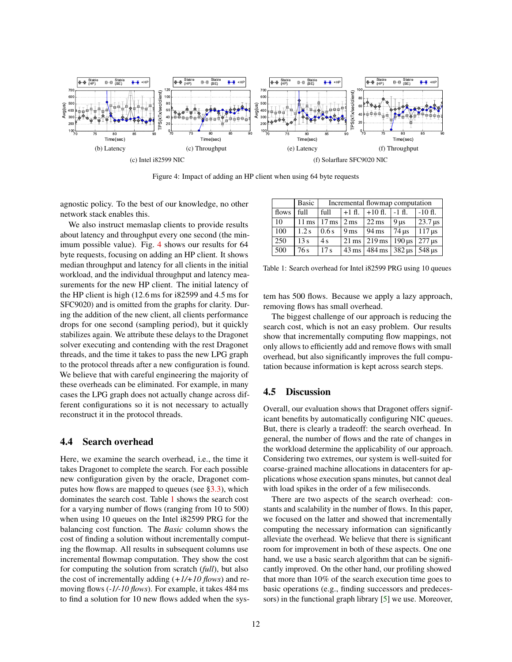<span id="page-11-1"></span>

Figure 4: Impact of adding an HP client when using 64 byte requests

agnostic policy. To the best of our knowledge, no other network stack enables this.

We also instruct memaslap clients to provide results about latency and throughput every one second (the minimum possible value). Fig. [4](#page-11-1) shows our results for 64 byte requests, focusing on adding an HP client. It shows median throughput and latency for all clients in the initial workload, and the individual throughput and latency measurements for the new HP client. The initial latency of the HP client is high (12.6 ms for i82599 and 4.5 ms for SFC9020) and is omitted from the graphs for clarity. During the addition of the new client, all clients performance drops for one second (sampling period), but it quickly stabilizes again. We attribute these delays to the Dragonet solver executing and contending with the rest Dragonet threads, and the time it takes to pass the new LPG graph to the protocol threads after a new configuration is found. We believe that with careful engineering the majority of these overheads can be eliminated. For example, in many cases the LPG graph does not actually change across different configurations so it is not necessary to actually reconstruct it in the protocol threads.

### <span id="page-11-0"></span>4.4 Search overhead

Here, we examine the search overhead, i.e., the time it takes Dragonet to complete the search. For each possible new configuration given by the oracle, Dragonet computes how flows are mapped to queues (see  $\S 3.3$ ), which dominates the search cost. Table [1](#page-11-2) shows the search cost for a varying number of flows (ranging from 10 to 500) when using 10 queues on the Intel i82599 PRG for the balancing cost function. The *Basic* column shows the cost of finding a solution without incrementally computing the flowmap. All results in subsequent columns use incremental flowmap computation. They show the cost for computing the solution from scratch (*full*), but also the cost of incrementally adding (*+1/+10 flows*) and removing flows (*-1/-10 flows*). For example, it takes 484 ms to find a solution for 10 new flows added when the sys-

<span id="page-11-2"></span>

|       | Basic              | Incremental flowmap computation |                   |                           |                                                 |                        |  |
|-------|--------------------|---------------------------------|-------------------|---------------------------|-------------------------------------------------|------------------------|--|
| flows | full               | full                            |                   | $+1$ fl. $+10$ fl.        | $-1$ fl.                                        | $-10f$ .               |  |
| 10    | $11 \,\mathrm{ms}$ | $17 \,\mathrm{ms}$              | $2 \,\mathrm{ms}$ | $22 \text{ ms}$           | $9 \,\mathrm{u}$ s                              | $\sqrt{23.7}$ µs       |  |
| 100   | 1.2s               | 0.6s                            | 9 <sub>ms</sub>   | $194$ ms                  | $74$ us                                         | $117 \,\mathrm{\mu s}$ |  |
| 250   | 13s                | 4s                              |                   | $21 \,\mathrm{ms}$ 219 ms | $190 \,\mathrm{us}$                             | $277 \,\mathrm{\mu s}$ |  |
| 500   | 76s                | 17 <sub>s</sub>                 |                   | $43 \text{ ms}$ 484 ms    | $382 \text{ \textmu s}$ 548 $\text{ \textmu s}$ |                        |  |

Table 1: Search overhead for Intel i82599 PRG using 10 queues

tem has 500 flows. Because we apply a lazy approach, removing flows has small overhead.

The biggest challenge of our approach is reducing the search cost, which is not an easy problem. Our results show that incrementally computing flow mappings, not only allows to efficiently add and remove flows with small overhead, but also significantly improves the full computation because information is kept across search steps.

# 4.5 Discussion

Overall, our evaluation shows that Dragonet offers significant benefits by automatically configuring NIC queues. But, there is clearly a tradeoff: the search overhead. In general, the number of flows and the rate of changes in the workload determine the applicability of our approach. Considering two extremes, our system is well-suited for coarse-grained machine allocations in datacenters for applications whose execution spans minutes, but cannot deal with load spikes in the order of a few miliseconds.

There are two aspects of the search overhead: constants and scalability in the number of flows. In this paper, we focused on the latter and showed that incrementally computing the necessary information can significantly alleviate the overhead. We believe that there is significant room for improvement in both of these aspects. One one hand, we use a basic search algorithm that can be significantly improved. On the other hand, our profiling showed that more than 10% of the search execution time goes to basic operations (e.g., finding successors and predecessors) in the functional graph library [\[5\]](#page-13-16) we use. Moreover,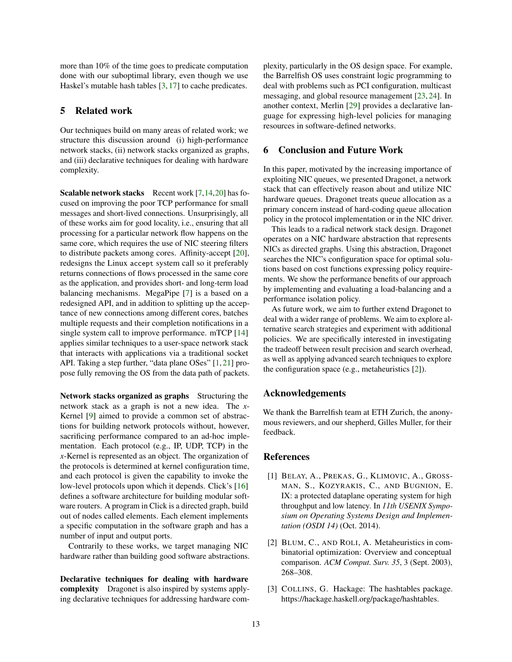more than 10% of the time goes to predicate computation done with our suboptimal library, even though we use Haskel's mutable hash tables [\[3,](#page-12-1) [17\]](#page-13-17) to cache predicates.

# 5 Related work

Our techniques build on many areas of related work; we structure this discussion around (i) high-performance network stacks, (ii) network stacks organized as graphs, and (iii) declarative techniques for dealing with hardware complexity.

**Scalable network stacks** Recent work  $[7,14,20]$  $[7,14,20]$  $[7,14,20]$  has focused on improving the poor TCP performance for small messages and short-lived connections. Unsurprisingly, all of these works aim for good locality, i.e., ensuring that all processing for a particular network flow happens on the same core, which requires the use of NIC steering filters to distribute packets among cores. Affinity-accept [\[20\]](#page-13-3), redesigns the Linux accept system call so it preferably returns connections of flows processed in the same core as the application, and provides short- and long-term load balancing mechanisms. MegaPipe [\[7\]](#page-13-0) is a based on a redesigned API, and in addition to splitting up the acceptance of new connections among different cores, batches multiple requests and their completion notifications in a single system call to improve performance. mTCP [\[14\]](#page-13-2) applies similar techniques to a user-space network stack that interacts with applications via a traditional socket API. Taking a step further, "data plane OSes" [\[1,](#page-12-0) [21\]](#page-13-4) propose fully removing the OS from the data path of packets.

Network stacks organized as graphs Structuring the network stack as a graph is not a new idea. The *x*-Kernel [\[9\]](#page-13-18) aimed to provide a common set of abstractions for building network protocols without, however, sacrificing performance compared to an ad-hoc implementation. Each protocol (e.g., IP, UDP, TCP) in the *x*-Kernel is represented as an object. The organization of the protocols is determined at kernel configuration time, and each protocol is given the capability to invoke the low-level protocols upon which it depends. Click's [\[16\]](#page-13-19) defines a software architecture for building modular software routers. A program in Click is a directed graph, build out of nodes called elements. Each element implements a specific computation in the software graph and has a number of input and output ports.

Contrarily to these works, we target managing NIC hardware rather than building good software abstractions.

Declarative techniques for dealing with hardware complexity Dragonet is also inspired by systems applying declarative techniques for addressing hardware complexity, particularly in the OS design space. For example, the Barrelfish OS uses constraint logic programming to deal with problems such as PCI configuration, multicast messaging, and global resource management [\[23,](#page-13-20) [24\]](#page-13-21). In another context, Merlin [\[29\]](#page-14-3) provides a declarative language for expressing high-level policies for managing resources in software-defined networks.

### 6 Conclusion and Future Work

In this paper, motivated by the increasing importance of exploiting NIC queues, we presented Dragonet, a network stack that can effectively reason about and utilize NIC hardware queues. Dragonet treats queue allocation as a primary concern instead of hard-coding queue allocation policy in the protocol implementation or in the NIC driver.

This leads to a radical network stack design. Dragonet operates on a NIC hardware abstraction that represents NICs as directed graphs. Using this abstraction, Dragonet searches the NIC's configuration space for optimal solutions based on cost functions expressing policy requirements. We show the performance benefits of our approach by implementing and evaluating a load-balancing and a performance isolation policy.

As future work, we aim to further extend Dragonet to deal with a wider range of problems. We aim to explore alternative search strategies and experiment with additional policies. We are specifically interested in investigating the tradeoff between result precision and search overhead, as well as applying advanced search techniques to explore the configuration space (e.g., metaheuristics [\[2\]](#page-12-2)).

# Acknowledgements

We thank the Barrelfish team at ETH Zurich, the anonymous reviewers, and our shepherd, Gilles Muller, for their feedback.

### References

- <span id="page-12-0"></span>[1] BELAY, A., PREKAS, G., KLIMOVIC, A., GROSS-MAN, S., KOZYRAKIS, C., AND BUGNION, E. IX: a protected dataplane operating system for high throughput and low latency. In *11th USENIX Symposium on Operating Systems Design and Implementation (OSDI 14)* (Oct. 2014).
- <span id="page-12-2"></span>[2] BLUM, C., AND ROLI, A. Metaheuristics in combinatorial optimization: Overview and conceptual comparison. *ACM Comput. Surv. 35*, 3 (Sept. 2003), 268–308.
- <span id="page-12-1"></span>[3] COLLINS, G. Hackage: The hashtables package. https://hackage.haskell.org/package/hashtables.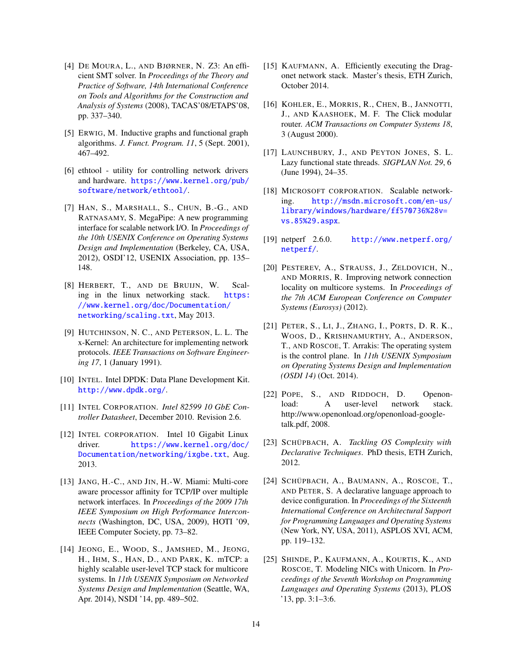- <span id="page-13-13"></span>[4] DE MOURA, L., AND BJØRNER, N. Z3: An efficient SMT solver. In *Proceedings of the Theory and Practice of Software, 14th International Conference on Tools and Algorithms for the Construction and Analysis of Systems* (2008), TACAS'08/ETAPS'08, pp. 337–340.
- <span id="page-13-16"></span>[5] ERWIG, M. Inductive graphs and functional graph algorithms. *J. Funct. Program. 11*, 5 (Sept. 2001), 467–492.
- <span id="page-13-9"></span>[6] ethtool - utility for controlling network drivers and hardware. [https://www.kernel.org/pub/](https://www.kernel.org/pub/software/network/ethtool/) [software/network/ethtool/](https://www.kernel.org/pub/software/network/ethtool/).
- <span id="page-13-0"></span>[7] HAN, S., MARSHALL, S., CHUN, B.-G., AND RATNASAMY, S. MegaPipe: A new programming interface for scalable network I/O. In *Proceedings of the 10th USENIX Conference on Operating Systems Design and Implementation* (Berkeley, CA, USA, 2012), OSDI'12, USENIX Association, pp. 135– 148.
- <span id="page-13-6"></span>[8] HERBERT, T., AND DE BRUIJN, W. Scaling in the linux networking stack. [https:](https://www.kernel.org/doc/Documentation/networking/scaling.txt) [//www.kernel.org/doc/Documentation/](https://www.kernel.org/doc/Documentation/networking/scaling.txt) [networking/scaling.txt](https://www.kernel.org/doc/Documentation/networking/scaling.txt), May 2013.
- <span id="page-13-18"></span>[9] HUTCHINSON, N. C., AND PETERSON, L. L. The x-Kernel: An architecture for implementing network protocols. *IEEE Transactions on Software Engineering 17*, 1 (January 1991).
- <span id="page-13-12"></span>[10] INTEL. Intel DPDK: Data Plane Development Kit. <http://www.dpdk.org/>.
- <span id="page-13-5"></span>[11] INTEL CORPORATION. *Intel 82599 10 GbE Controller Datasheet*, December 2010. Revision 2.6.
- <span id="page-13-8"></span>[12] INTEL CORPORATION. Intel 10 Gigabit Linux driver. [https://www.kernel.org/doc/](https://www.kernel.org/doc/Documentation/networking/ixgbe.txt) [Documentation/networking/ixgbe.txt](https://www.kernel.org/doc/Documentation/networking/ixgbe.txt), Aug. 2013.
- <span id="page-13-1"></span>[13] JANG, H.-C., AND JIN, H.-W. Miami: Multi-core aware processor affinity for TCP/IP over multiple network interfaces. In *Proceedings of the 2009 17th IEEE Symposium on High Performance Interconnects* (Washington, DC, USA, 2009), HOTI '09, IEEE Computer Society, pp. 73–82.
- <span id="page-13-2"></span>[14] JEONG, E., WOOD, S., JAMSHED, M., JEONG, H., IHM, S., HAN, D., AND PARK, K. mTCP: a highly scalable user-level TCP stack for multicore systems. In *11th USENIX Symposium on Networked Systems Design and Implementation* (Seattle, WA, Apr. 2014), NSDI '14, pp. 489–502.
- <span id="page-13-11"></span>[15] KAUFMANN, A. Efficiently executing the Dragonet network stack. Master's thesis, ETH Zurich, October 2014.
- <span id="page-13-19"></span>[16] KOHLER, E., MORRIS, R., CHEN, B., JANNOTTI, J., AND KAASHOEK, M. F. The Click modular router. *ACM Transactions on Computer Systems 18*, 3 (August 2000).
- <span id="page-13-17"></span>[17] LAUNCHBURY, J., AND PEYTON JONES, S. L. Lazy functional state threads. *SIGPLAN Not. 29*, 6 (June 1994), 24–35.
- <span id="page-13-7"></span>[18] MICROSOFT CORPORATION. Scalable networking. [http://msdn.microsoft.com/en-us/](http://msdn.microsoft.com/en-us/library/windows/hardware/ff570736%28v=vs.85%29.aspx) [library/windows/hardware/ff570736%28v=](http://msdn.microsoft.com/en-us/library/windows/hardware/ff570736%28v=vs.85%29.aspx) [vs.85%29.aspx](http://msdn.microsoft.com/en-us/library/windows/hardware/ff570736%28v=vs.85%29.aspx).
- <span id="page-13-14"></span>[19] netperf 2.6.0. [http://www.netperf.org/](http://www.netperf.org/netperf/) [netperf/](http://www.netperf.org/netperf/).
- <span id="page-13-3"></span>[20] PESTEREV, A., STRAUSS, J., ZELDOVICH, N., AND MORRIS, R. Improving network connection locality on multicore systems. In *Proceedings of the 7th ACM European Conference on Computer Systems (Eurosys)* (2012).
- <span id="page-13-4"></span>[21] PETER, S., LI, J., ZHANG, I., PORTS, D. R. K., WOOS, D., KRISHNAMURTHY, A., ANDERSON, T., AND ROSCOE, T. Arrakis: The operating system is the control plane. In *11th USENIX Symposium on Operating Systems Design and Implementation (OSDI 14)* (Oct. 2014).
- <span id="page-13-15"></span>[22] POPE, S., AND RIDDOCH, D. Openonload: A user-level network stack. http://www.openonload.org/openonload-googletalk.pdf, 2008.
- <span id="page-13-20"></span>[23] SCHÜPBACH, A. *Tackling OS Complexity with Declarative Techniques*. PhD thesis, ETH Zurich, 2012.
- <span id="page-13-21"></span>[24] SCHÜPBACH, A., BAUMANN, A., ROSCOE, T., AND PETER, S. A declarative language approach to device configuration. In *Proceedings of the Sixteenth International Conference on Architectural Support for Programming Languages and Operating Systems* (New York, NY, USA, 2011), ASPLOS XVI, ACM, pp. 119–132.
- <span id="page-13-10"></span>[25] SHINDE, P., KAUFMANN, A., KOURTIS, K., AND ROSCOE, T. Modeling NICs with Unicorn. In *Proceedings of the Seventh Workshop on Programming Languages and Operating Systems* (2013), PLOS '13, pp. 3:1–3:6.